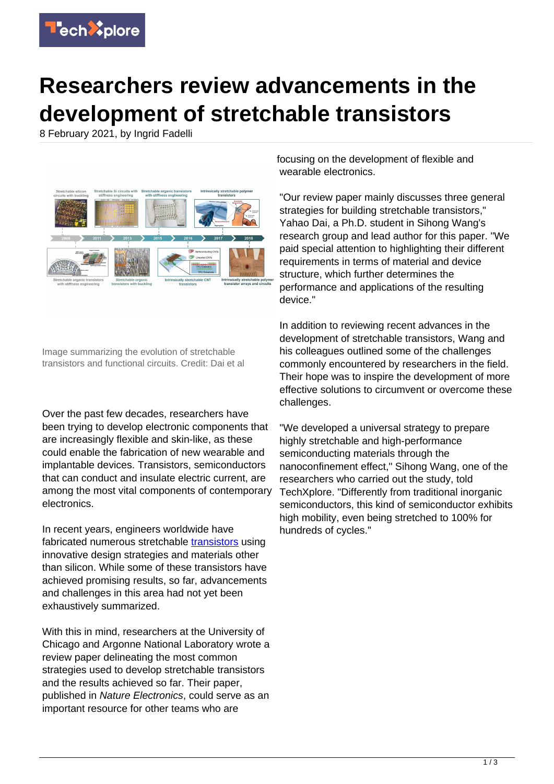

## **Researchers review advancements in the development of stretchable transistors**

8 February 2021, by Ingrid Fadelli



Image summarizing the evolution of stretchable transistors and functional circuits. Credit: Dai et al

Over the past few decades, researchers have been trying to develop electronic components that are increasingly flexible and skin-like, as these could enable the fabrication of new wearable and implantable devices. Transistors, semiconductors that can conduct and insulate electric current, are among the most vital components of contemporary electronics.

In recent years, engineers worldwide have fabricated numerous stretchable [transistors](https://techxplore.com/tags/transistors/) using innovative design strategies and materials other than silicon. While some of these transistors have achieved promising results, so far, advancements and challenges in this area had not yet been exhaustively summarized.

With this in mind, researchers at the University of Chicago and Argonne National Laboratory wrote a review paper delineating the most common strategies used to develop stretchable transistors and the results achieved so far. Their paper, published in Nature Electronics, could serve as an important resource for other teams who are

focusing on the development of flexible and wearable electronics.

"Our review paper mainly discusses three general strategies for building stretchable transistors," Yahao Dai, a Ph.D. student in Sihong Wang's research group and lead author for this paper. "We paid special attention to highlighting their different requirements in terms of material and device structure, which further determines the performance and applications of the resulting device."

In addition to reviewing recent advances in the development of stretchable transistors, Wang and his colleagues outlined some of the challenges commonly encountered by researchers in the field. Their hope was to inspire the development of more effective solutions to circumvent or overcome these challenges.

"We developed a universal strategy to prepare highly stretchable and high-performance semiconducting materials through the nanoconfinement effect," Sihong Wang, one of the researchers who carried out the study, told TechXplore. "Differently from traditional inorganic semiconductors, this kind of semiconductor exhibits high mobility, even being stretched to 100% for hundreds of cycles."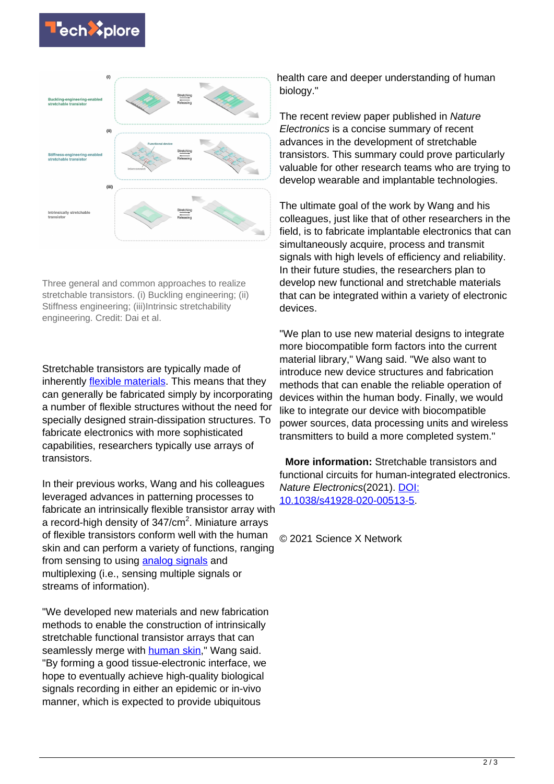



Three general and common approaches to realize stretchable transistors. (i) Buckling engineering; (ii) Stiffness engineering; (iii)Intrinsic stretchability engineering. Credit: Dai et al.

Stretchable transistors are typically made of inherently *flexible materials*. This means that they can generally be fabricated simply by incorporating a number of flexible structures without the need for specially designed strain-dissipation structures. To fabricate electronics with more sophisticated capabilities, researchers typically use arrays of transistors.

In their previous works, Wang and his colleagues leveraged advances in patterning processes to fabricate an intrinsically flexible transistor array with a record-high density of 347/cm<sup>2</sup>. Miniature arrays of flexible transistors conform well with the human skin and can perform a variety of functions, ranging from sensing to using [analog signals](https://techxplore.com/tags/analog+signals/) and multiplexing (i.e., sensing multiple signals or streams of information).

"We developed new materials and new fabrication methods to enable the construction of intrinsically stretchable functional transistor arrays that can seamlessly merge with human skin." Wang said. "By forming a good tissue-electronic interface, we hope to eventually achieve high-quality biological signals recording in either an epidemic or in-vivo manner, which is expected to provide ubiquitous

health care and deeper understanding of human biology."

The recent review paper published in Nature Electronics is a concise summary of recent advances in the development of stretchable transistors. This summary could prove particularly valuable for other research teams who are trying to develop wearable and implantable technologies.

The ultimate goal of the work by Wang and his colleagues, just like that of other researchers in the field, is to fabricate implantable electronics that can simultaneously acquire, process and transmit signals with high levels of efficiency and reliability. In their future studies, the researchers plan to develop new functional and stretchable materials that can be integrated within a variety of electronic devices.

"We plan to use new material designs to integrate more biocompatible form factors into the current material library," Wang said. "We also want to introduce new device structures and fabrication methods that can enable the reliable operation of devices within the human body. Finally, we would like to integrate our device with biocompatible power sources, data processing units and wireless transmitters to build a more completed system."

 **More information:** Stretchable transistors and functional circuits for human-integrated electronics. Nature Electronics(2021). [DOI:](http://dx.doi.org/10.1038/s41928-020-00513-5) [10.1038/s41928-020-00513-5](http://dx.doi.org/10.1038/s41928-020-00513-5).

© 2021 Science X Network